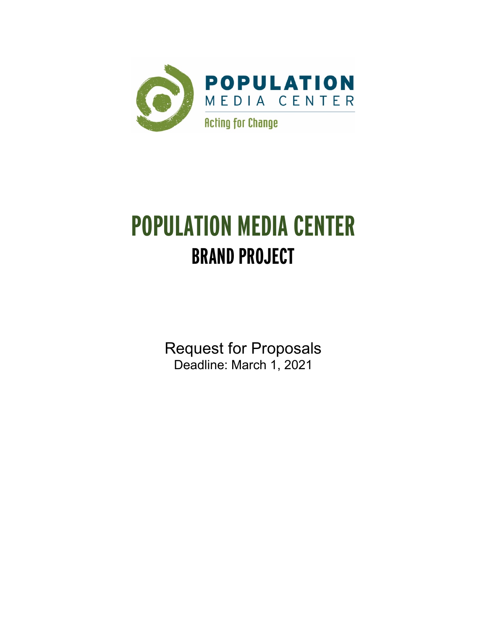

# **POPULATION MEDIA CENTER BRAND PROJECT**

Request for Proposals Deadline: March 1, 2021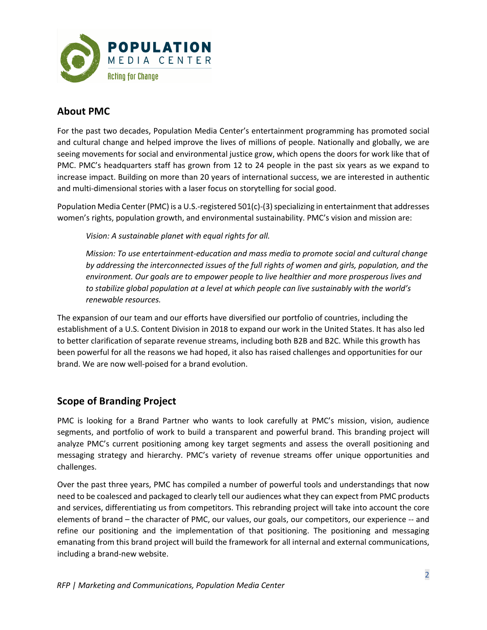

# **About PMC**

For the past two decades, Population Media Center's entertainment programming has promoted social and cultural change and helped improve the lives of millions of people. Nationally and globally, we are seeing movements for social and environmental justice grow, which opens the doors for work like that of PMC. PMC's headquarters staff has grown from 12 to 24 people in the past six years as we expand to increase impact. Building on more than 20 years of international success, we are interested in authentic and multi-dimensional stories with a laser focus on storytelling for social good.

Population Media Center (PMC) is a U.S.-registered 501(c)-(3) specializing in entertainment that addresses women's rights, population growth, and environmental sustainability. PMC's vision and mission are:

*Vision: A sustainable planet with equal rights for all.*

*Mission: To use entertainment-education and mass media to promote social and cultural change by addressing the interconnected issues of the full rights of women and girls, population, and the environment. Our goals are to empower people to live healthier and more prosperous lives and to stabilize global population at a level at which people can live sustainably with the world's renewable resources.*

The expansion of our team and our efforts have diversified our portfolio of countries, including the establishment of a U.S. Content Division in 2018 to expand our work in the United States. It has also led to better clarification of separate revenue streams, including both B2B and B2C. While this growth has been powerful for all the reasons we had hoped, it also has raised challenges and opportunities for our brand. We are now well-poised for a brand evolution.

## **Scope of Branding Project**

PMC is looking for a Brand Partner who wants to look carefully at PMC's mission, vision, audience segments, and portfolio of work to build a transparent and powerful brand. This branding project will analyze PMC's current positioning among key target segments and assess the overall positioning and messaging strategy and hierarchy. PMC's variety of revenue streams offer unique opportunities and challenges.

Over the past three years, PMC has compiled a number of powerful tools and understandings that now need to be coalesced and packaged to clearly tell our audiences what they can expect from PMC products and services, differentiating us from competitors. This rebranding project will take into account the core elements of brand – the character of PMC, our values, our goals, our competitors, our experience -- and refine our positioning and the implementation of that positioning. The positioning and messaging emanating from this brand project will build the framework for all internal and external communications, including a brand-new website.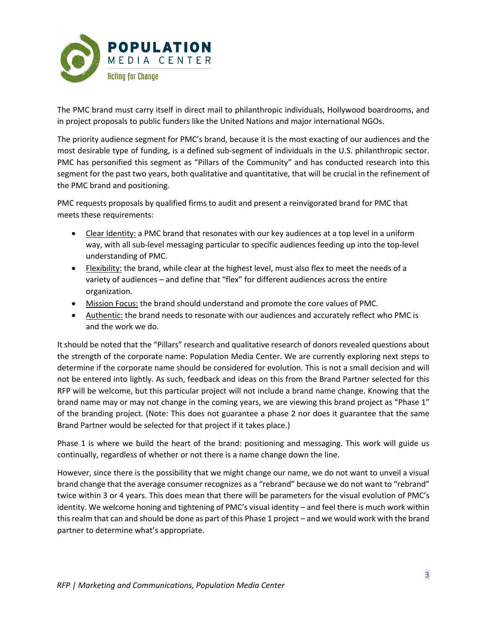

The PMC brand must carry itself in direct mail to philanthropic individuals, Hollywood boardrooms, and in project proposals to public funders like the United Nations and major international NGOs.

The priority audience segment for PMC's brand, because it is the most exacting of our audiences and the most desirable type of funding, is a defined sub-segment of individuals in the U.S. philanthropic sector. PMC has personified this segment as "Pillars of the Community" and has conducted research into this segment for the past two years, both qualitative and quantitative, that will be crucial in the refinement of the PMC brand and positioning.

PMC requests proposals by qualified firms to audit and present a reinvigorated brand for PMC that meets these requirements:

- Clear Identity: a PMC brand that resonates with our key audiences at a top level in a uniform way, with all sub-level messaging particular to specific audiences feeding up into the top-level understanding of PMC.
- Flexibility: the brand, while clear at the highest level, must also flex to meet the needs of a variety of audiences – and define that "flex" for different audiences across the entire organization.
- Mission Focus: the brand should understand and promote the core values of PMC.
- Authentic: the brand needs to resonate with our audiences and accurately reflect who PMC is and the work we do.

It should be noted that the "Pillars" research and qualitative research of donors revealed questions about the strength of the corporate name: Population Media Center. We are currently exploring next steps to determine if the corporate name should be considered for evolution. This is not a small decision and will not be entered into lightly. As such, feedback and ideas on this from the Brand Partner selected for this RFP will be welcome, but this particular project will not include a brand name change. Knowing that the brand name may or may not change in the coming years, we are viewing this brand project as "Phase 1" of the branding project. (Note: This does not guarantee a phase 2 nor does it guarantee that the same Brand Partner would be selected for that project if it takes place.)

Phase 1 is where we build the heart of the brand: positioning and messaging. This work will guide us continually, regardless of whether or not there is a name change down the line.

However, since there is the possibility that we might change our name, we do not want to unveil a visual brand change that the average consumer recognizes as a "rebrand" because we do not want to "rebrand" twice within 3 or 4 years. This does mean that there will be parameters for the visual evolution of PMC's identity. We welcome honing and tightening of PMC's visual identity – and feel there is much work within this realm that can and should be done as part of this Phase 1 project – and we would work with the brand partner to determine what's appropriate.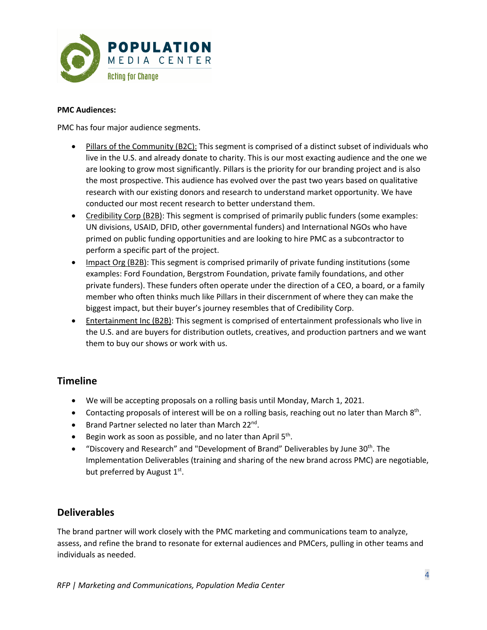

#### **PMC Audiences:**

PMC has four major audience segments.

- Pillars of the Community (B2C): This segment is comprised of a distinct subset of individuals who live in the U.S. and already donate to charity. This is our most exacting audience and the one we are looking to grow most significantly. Pillars is the priority for our branding project and is also the most prospective. This audience has evolved over the past two years based on qualitative research with our existing donors and research to understand market opportunity. We have conducted our most recent research to better understand them.
- Credibility Corp (B2B): This segment is comprised of primarily public funders (some examples: UN divisions, USAID, DFID, other governmental funders) and International NGOs who have primed on public funding opportunities and are looking to hire PMC as a subcontractor to perform a specific part of the project.
- Impact Org (B2B): This segment is comprised primarily of private funding institutions (some examples: Ford Foundation, Bergstrom Foundation, private family foundations, and other private funders). These funders often operate under the direction of a CEO, a board, or a family member who often thinks much like Pillars in their discernment of where they can make the biggest impact, but their buyer's journey resembles that of Credibility Corp.
- Entertainment Inc (B2B): This segment is comprised of entertainment professionals who live in the U.S. and are buyers for distribution outlets, creatives, and production partners and we want them to buy our shows or work with us.

## **Timeline**

- We will be accepting proposals on a rolling basis until Monday, March 1, 2021.
- Contacting proposals of interest will be on a rolling basis, reaching out no later than March  $8<sup>th</sup>$ .
- Brand Partner selected no later than March 22<sup>nd</sup>.
- Begin work as soon as possible, and no later than April  $5<sup>th</sup>$ .
- "Discovery and Research" and "Development of Brand" Deliverables by June  $30<sup>th</sup>$ . The Implementation Deliverables (training and sharing of the new brand across PMC) are negotiable, but preferred by August  $1<sup>st</sup>$ .

## **Deliverables**

The brand partner will work closely with the PMC marketing and communications team to analyze, assess, and refine the brand to resonate for external audiences and PMCers, pulling in other teams and individuals as needed.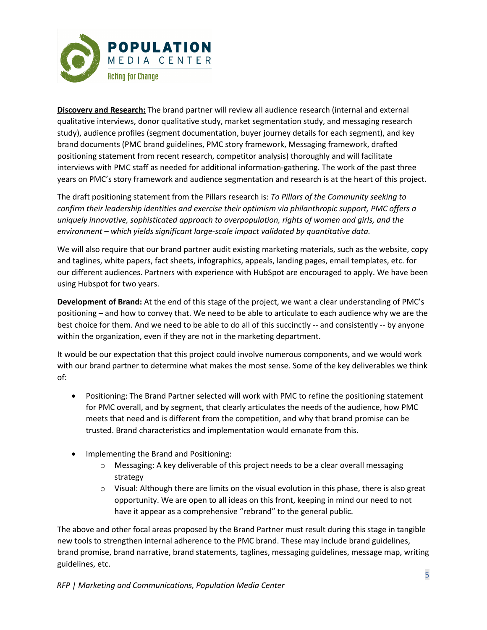

**Discovery and Research:** The brand partner will review all audience research (internal and external qualitative interviews, donor qualitative study, market segmentation study, and messaging research study), audience profiles (segment documentation, buyer journey details for each segment), and key brand documents (PMC brand guidelines, PMC story framework, Messaging framework, drafted positioning statement from recent research, competitor analysis) thoroughly and will facilitate interviews with PMC staff as needed for additional information-gathering. The work of the past three years on PMC's story framework and audience segmentation and research is at the heart of this project.

The draft positioning statement from the Pillars research is: *To Pillars of the Community seeking to confirm their leadership identities and exercise their optimism via philanthropic support, PMC offers a uniquely innovative, sophisticated approach to overpopulation, rights of women and girls, and the environment – which yields significant large-scale impact validated by quantitative data.*

We will also require that our brand partner audit existing marketing materials, such as the website, copy and taglines, white papers, fact sheets, infographics, appeals, landing pages, email templates, etc. for our different audiences. Partners with experience with HubSpot are encouraged to apply. We have been using Hubspot for two years.

**Development of Brand:** At the end of this stage of the project, we want a clear understanding of PMC's positioning – and how to convey that. We need to be able to articulate to each audience why we are the best choice for them. And we need to be able to do all of this succinctly -- and consistently -- by anyone within the organization, even if they are not in the marketing department.

It would be our expectation that this project could involve numerous components, and we would work with our brand partner to determine what makes the most sense. Some of the key deliverables we think of:

- Positioning: The Brand Partner selected will work with PMC to refine the positioning statement for PMC overall, and by segment, that clearly articulates the needs of the audience, how PMC meets that need and is different from the competition, and why that brand promise can be trusted. Brand characteristics and implementation would emanate from this.
- Implementing the Brand and Positioning:
	- $\circ$  Messaging: A key deliverable of this project needs to be a clear overall messaging strategy
	- $\circ$  Visual: Although there are limits on the visual evolution in this phase, there is also great opportunity. We are open to all ideas on this front, keeping in mind our need to not have it appear as a comprehensive "rebrand" to the general public.

The above and other focal areas proposed by the Brand Partner must result during this stage in tangible new tools to strengthen internal adherence to the PMC brand. These may include brand guidelines, brand promise, brand narrative, brand statements, taglines, messaging guidelines, message map, writing guidelines, etc.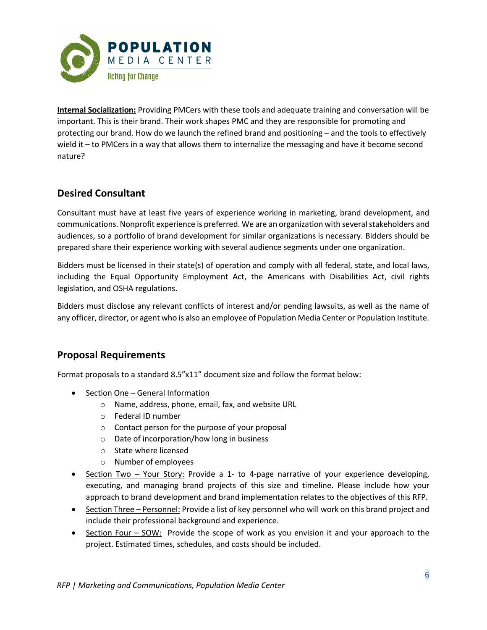

**Internal Socialization:** Providing PMCers with these tools and adequate training and conversation will be important. This is their brand. Their work shapes PMC and they are responsible for promoting and protecting our brand. How do we launch the refined brand and positioning – and the tools to effectively wield it – to PMCers in a way that allows them to internalize the messaging and have it become second nature?

## **Desired Consultant**

Consultant must have at least five years of experience working in marketing, brand development, and communications. Nonprofit experience is preferred. We are an organization with several stakeholders and audiences, so a portfolio of brand development for similar organizations is necessary. Bidders should be prepared share their experience working with several audience segments under one organization.

Bidders must be licensed in their state(s) of operation and comply with all federal, state, and local laws, including the Equal Opportunity Employment Act, the Americans with Disabilities Act, civil rights legislation, and OSHA regulations.

Bidders must disclose any relevant conflicts of interest and/or pending lawsuits, as well as the name of any officer, director, or agent who is also an employee of Population Media Center or Population Institute.

## **Proposal Requirements**

Format proposals to a standard 8.5"x11" document size and follow the format below:

- Section One General Information
	- o Name, address, phone, email, fax, and website URL
	- o Federal ID number
	- o Contact person for the purpose of your proposal
	- o Date of incorporation/how long in business
	- o State where licensed
	- o Number of employees
- Section Two Your Story: Provide a 1- to 4-page narrative of your experience developing, executing, and managing brand projects of this size and timeline. Please include how your approach to brand development and brand implementation relates to the objectives of this RFP.
- Section Three Personnel: Provide a list of key personnel who will work on this brand project and include their professional background and experience.
- Section Four SOW: Provide the scope of work as you envision it and your approach to the project. Estimated times, schedules, and costs should be included.